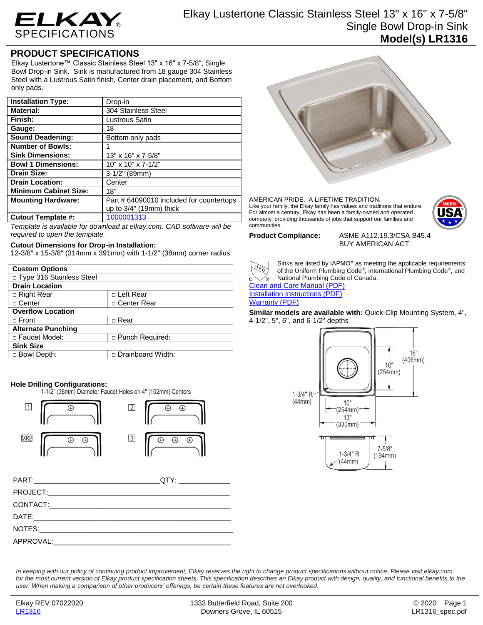

Elkay Lustertone Classic Stainless Steel 13" x 16" x 7-5/8" Single Bowl Drop-in Sink **Model(s) LR1316**

# **PRODUCT SPECIFICATIONS**

Elkay Lustertone™ Classic Stainless Steel 13" x 16" x 7-5/8", Single Bowl Drop-in Sink. Sink is manufactured from 18 gauge 304 Stainless Steel with a Lustrous Satin finish, Center drain placement, and Bottom only pads.

| <b>Installation Type:</b>    | Drop-in                                  |
|------------------------------|------------------------------------------|
| <b>Material:</b>             | 304 Stainless Steel                      |
| Finish:                      | Lustrous Satin                           |
| Gauge:                       | 18                                       |
| <b>Sound Deadening:</b>      | Bottom only pads                         |
| <b>Number of Bowls:</b>      |                                          |
| <b>Sink Dimensions:</b>      | 13" x 16" x 7-5/8"                       |
| <b>Bowl 1 Dimensions:</b>    | $10"$ x $10"$ x $7-1/2"$                 |
| <b>Drain Size:</b>           | 3-1/2" (89mm)                            |
| <b>Drain Location:</b>       | Center                                   |
| <b>Minimum Cabinet Size:</b> | 18"                                      |
| <b>Mounting Hardware:</b>    | Part # 64090010 included for countertops |
|                              | up to $3/4$ " (19mm) thick               |
| <b>Cutout Template #:</b>    | 1000001313                               |

*Template is available for download at elkay.com. CAD software will be required to open the template.*

### **Cutout Dimensions for Drop-in Installation:**

12-3/8" x 15-3/8" (314mm x 391mm) with 1-1/2" (38mm) corner radius

| <b>Custom Options</b>      |                        |  |
|----------------------------|------------------------|--|
| □ Type 316 Stainless Steel |                        |  |
| <b>Drain Location</b>      |                        |  |
| □ Right Rear               | □ Left Rear            |  |
| $\sqcap$ Center            | □ Center Rear          |  |
| <b>Overflow Location</b>   |                        |  |
| $\Box$ Front               | $\Box$ Rear            |  |
| <b>Alternate Punching</b>  |                        |  |
| □ Faucet Model:            | $\Box$ Punch Required: |  |
| <b>Sink Size</b>           |                        |  |
| □ Bowl Depth:              | □ Drainboard Width:    |  |

**Hole Drilling Configurations:**



| DATE:     |  |
|-----------|--|
| NOTES:    |  |
| APPROVAL: |  |



AMERICAN PRIDE. A LIFETIME TRADITION. Like your family, the Elkay family has values and traditions that endure. For almost a century, Elkay has been a family-owned and operated company, providing thousands of jobs that support our families and communities.



**Product Compliance:** ASME A112.19.3/CSA B45.4 BUY AMERICAN ACT



Sinks are listed by IAPMO® as meeting the applicable requirements of the Uniform Plumbing Code® , International Plumbing Code® , and National Plumbing Code of Canada.

[Clean and Care Manual \(PDF\)](http://www.elkayfiles.com/care-cleaning-install-warranty-sheets/1000005386.pdf) [Installation Instructions \(PDF\)](http://www.elkayfiles.com/care-cleaning-install-warranty-sheets/1000005236.pdf) [Warranty](http://www.elkayfiles.com/care-cleaning-install-warranty-sheets/1000005130.pdf) (PDF)

### **Similar models are available with:** Quick-Clip Mounting System, 4", 4-1/2", 5", 6", and 6-1/2" depths



*In keeping with our policy of continuing product improvement, Elkay reserves the right to change product specifications without notice. Please visit elkay.com*  for the most current version of Elkay product specification sheets. This specification describes an Elkay product with design, quality, and functional benefits to the *user. When making a comparison of other producers' offerings, be certain these features are not overlooked.*